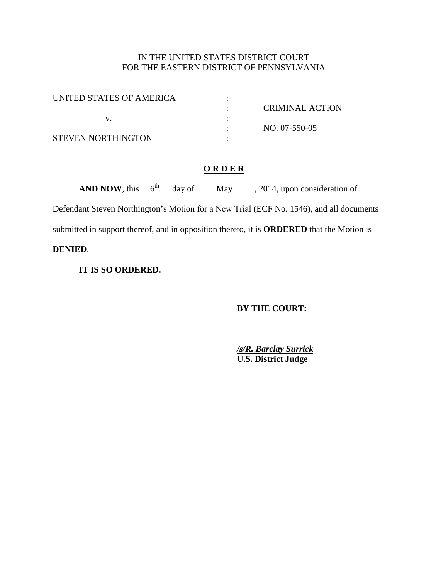# IN THE UNITED STATES DISTRICT COURT FOR THE EASTERN DISTRICT OF PENNSYLVANIA

| UNITED STATES OF AMERICA |                 |
|--------------------------|-----------------|
|                          | CRIMINAL ACTION |
|                          |                 |
|                          | NO. 07-550-05   |
| STEVEN NORTHINGTON       |                 |

# **O R D E R**

**AND NOW**, this  $\frac{6^{th}}{4}$  day of May , 2014, upon consideration of

Defendant Steven Northington's Motion for a New Trial (ECF No. 1546), and all documents submitted in support thereof, and in opposition thereto, it is **ORDERED** that the Motion is **DENIED**.

**IT IS SO ORDERED.** 

**BY THE COURT:** 

*/s/R. Barclay Surrick* **U.S. District Judge**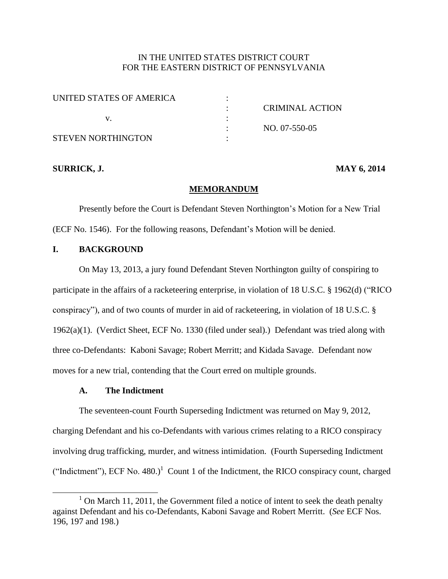# IN THE UNITED STATES DISTRICT COURT FOR THE EASTERN DISTRICT OF PENNSYLVANIA

| UNITED STATES OF AMERICA |                 |
|--------------------------|-----------------|
|                          | CRIMINAL ACTION |
|                          |                 |
|                          | NO. 07-550-05   |
| STEVEN NORTHINGTON       |                 |

## **SURRICK, J. MAY 6, 2014**

### **MEMORANDUM**

Presently before the Court is Defendant Steven Northington's Motion for a New Trial (ECF No. 1546). For the following reasons, Defendant's Motion will be denied.

## **I. BACKGROUND**

On May 13, 2013, a jury found Defendant Steven Northington guilty of conspiring to participate in the affairs of a racketeering enterprise, in violation of 18 U.S.C. § 1962(d) ("RICO conspiracy"), and of two counts of murder in aid of racketeering, in violation of 18 U.S.C. § 1962(a)(1). (Verdict Sheet, ECF No. 1330 (filed under seal).) Defendant was tried along with three co-Defendants: Kaboni Savage; Robert Merritt; and Kidada Savage. Defendant now moves for a new trial, contending that the Court erred on multiple grounds.

## **A. The Indictment**

 $\overline{a}$ 

The seventeen-count Fourth Superseding Indictment was returned on May 9, 2012, charging Defendant and his co-Defendants with various crimes relating to a RICO conspiracy involving drug trafficking, murder, and witness intimidation. (Fourth Superseding Indictment ("Indictment"), ECF No. 480.)<sup>1</sup> Count 1 of the Indictment, the RICO conspiracy count, charged

 $1$  On March 11, 2011, the Government filed a notice of intent to seek the death penalty against Defendant and his co-Defendants, Kaboni Savage and Robert Merritt. (*See* ECF Nos. 196, 197 and 198.)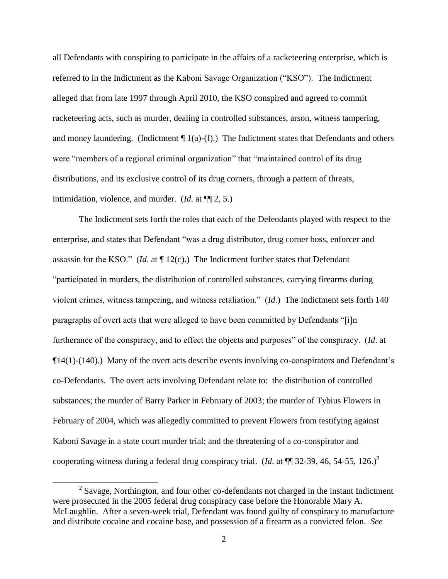all Defendants with conspiring to participate in the affairs of a racketeering enterprise, which is referred to in the Indictment as the Kaboni Savage Organization ("KSO"). The Indictment alleged that from late 1997 through April 2010, the KSO conspired and agreed to commit racketeering acts, such as murder, dealing in controlled substances, arson, witness tampering, and money laundering. (Indictment  $\P$ 1(a)-(f).) The Indictment states that Defendants and others were "members of a regional criminal organization" that "maintained control of its drug distributions, and its exclusive control of its drug corners, through a pattern of threats, intimidation, violence, and murder. (*Id*. at ¶¶ 2, 5.)

The Indictment sets forth the roles that each of the Defendants played with respect to the enterprise, and states that Defendant "was a drug distributor, drug corner boss, enforcer and assassin for the KSO." (*Id*. at ¶ 12(c).) The Indictment further states that Defendant "participated in murders, the distribution of controlled substances, carrying firearms during violent crimes, witness tampering, and witness retaliation." (*Id*.) The Indictment sets forth 140 paragraphs of overt acts that were alleged to have been committed by Defendants "[i]n furtherance of the conspiracy, and to effect the objects and purposes" of the conspiracy. (*Id*. at ¶14(1)-(140).) Many of the overt acts describe events involving co-conspirators and Defendant's co-Defendants. The overt acts involving Defendant relate to: the distribution of controlled substances; the murder of Barry Parker in February of 2003; the murder of Tybius Flowers in February of 2004, which was allegedly committed to prevent Flowers from testifying against Kaboni Savage in a state court murder trial; and the threatening of a co-conspirator and cooperating witness during a federal drug conspiracy trial. (*Id.* at  $\P$  32-39, 46, 54-55, 126.)<sup>2</sup>

 $2^2$  Savage, Northington, and four other co-defendants not charged in the instant Indictment were prosecuted in the 2005 federal drug conspiracy case before the Honorable Mary A. McLaughlin. After a seven-week trial, Defendant was found guilty of conspiracy to manufacture and distribute cocaine and cocaine base, and possession of a firearm as a convicted felon. *See*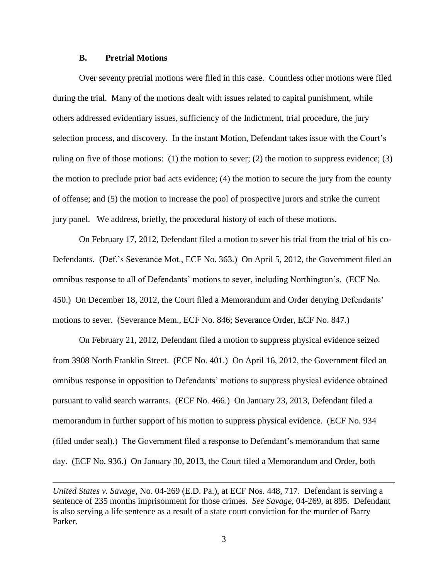## **B. Pretrial Motions**

 $\overline{a}$ 

Over seventy pretrial motions were filed in this case. Countless other motions were filed during the trial. Many of the motions dealt with issues related to capital punishment, while others addressed evidentiary issues, sufficiency of the Indictment, trial procedure, the jury selection process, and discovery. In the instant Motion, Defendant takes issue with the Court's ruling on five of those motions: (1) the motion to sever; (2) the motion to suppress evidence; (3) the motion to preclude prior bad acts evidence; (4) the motion to secure the jury from the county of offense; and (5) the motion to increase the pool of prospective jurors and strike the current jury panel. We address, briefly, the procedural history of each of these motions.

On February 17, 2012, Defendant filed a motion to sever his trial from the trial of his co-Defendants. (Def.'s Severance Mot., ECF No. 363.) On April 5, 2012, the Government filed an omnibus response to all of Defendants' motions to sever, including Northington's. (ECF No. 450.) On December 18, 2012, the Court filed a Memorandum and Order denying Defendants' motions to sever. (Severance Mem., ECF No. 846; Severance Order, ECF No. 847.)

On February 21, 2012, Defendant filed a motion to suppress physical evidence seized from 3908 North Franklin Street. (ECF No. 401.) On April 16, 2012, the Government filed an omnibus response in opposition to Defendants' motions to suppress physical evidence obtained pursuant to valid search warrants. (ECF No. 466.) On January 23, 2013, Defendant filed a memorandum in further support of his motion to suppress physical evidence. (ECF No. 934 (filed under seal).) The Government filed a response to Defendant's memorandum that same day. (ECF No. 936.) On January 30, 2013, the Court filed a Memorandum and Order, both

*United States v. Savage,* No. 04-269 (E.D. Pa.), at ECF Nos. 448, 717. Defendant is serving a sentence of 235 months imprisonment for those crimes. *See Savage*, 04-269, at 895. Defendant is also serving a life sentence as a result of a state court conviction for the murder of Barry Parker.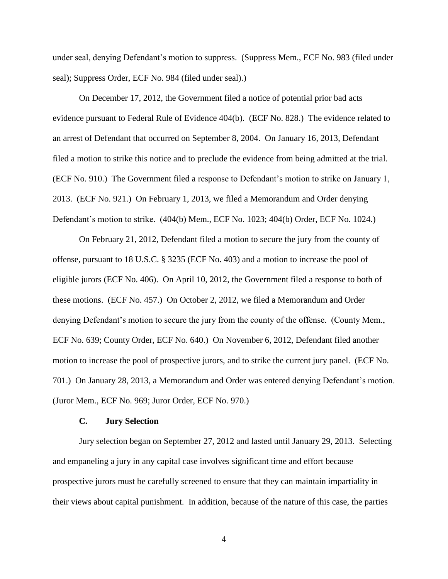under seal, denying Defendant's motion to suppress. (Suppress Mem., ECF No. 983 (filed under seal); Suppress Order, ECF No. 984 (filed under seal).)

On December 17, 2012, the Government filed a notice of potential prior bad acts evidence pursuant to Federal Rule of Evidence 404(b). (ECF No. 828.) The evidence related to an arrest of Defendant that occurred on September 8, 2004. On January 16, 2013, Defendant filed a motion to strike this notice and to preclude the evidence from being admitted at the trial. (ECF No. 910.) The Government filed a response to Defendant's motion to strike on January 1, 2013. (ECF No. 921.) On February 1, 2013, we filed a Memorandum and Order denying Defendant's motion to strike. (404(b) Mem., ECF No. 1023; 404(b) Order, ECF No. 1024.)

On February 21, 2012, Defendant filed a motion to secure the jury from the county of offense, pursuant to 18 U.S.C. § 3235 (ECF No. 403) and a motion to increase the pool of eligible jurors (ECF No. 406). On April 10, 2012, the Government filed a response to both of these motions. (ECF No. 457.) On October 2, 2012, we filed a Memorandum and Order denying Defendant's motion to secure the jury from the county of the offense. (County Mem., ECF No. 639; County Order, ECF No. 640.) On November 6, 2012, Defendant filed another motion to increase the pool of prospective jurors, and to strike the current jury panel. (ECF No. 701.) On January 28, 2013, a Memorandum and Order was entered denying Defendant's motion. (Juror Mem., ECF No. 969; Juror Order, ECF No. 970.)

## **C. Jury Selection**

Jury selection began on September 27, 2012 and lasted until January 29, 2013. Selecting and empaneling a jury in any capital case involves significant time and effort because prospective jurors must be carefully screened to ensure that they can maintain impartiality in their views about capital punishment. In addition, because of the nature of this case, the parties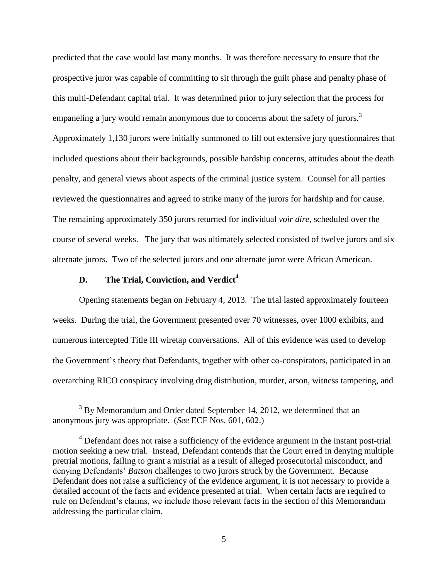predicted that the case would last many months. It was therefore necessary to ensure that the prospective juror was capable of committing to sit through the guilt phase and penalty phase of this multi-Defendant capital trial. It was determined prior to jury selection that the process for empaneling a jury would remain anonymous due to concerns about the safety of jurors.<sup>3</sup> Approximately 1,130 jurors were initially summoned to fill out extensive jury questionnaires that included questions about their backgrounds, possible hardship concerns, attitudes about the death penalty, and general views about aspects of the criminal justice system. Counsel for all parties reviewed the questionnaires and agreed to strike many of the jurors for hardship and for cause. The remaining approximately 350 jurors returned for individual *voir dire*, scheduled over the course of several weeks. The jury that was ultimately selected consisted of twelve jurors and six alternate jurors. Two of the selected jurors and one alternate juror were African American.

## **D. The Trial, Conviction, and Verdict<sup>4</sup>**

 $\overline{a}$ 

Opening statements began on February 4, 2013. The trial lasted approximately fourteen weeks. During the trial, the Government presented over 70 witnesses, over 1000 exhibits, and numerous intercepted Title III wiretap conversations. All of this evidence was used to develop the Government's theory that Defendants, together with other co-conspirators, participated in an overarching RICO conspiracy involving drug distribution, murder, arson, witness tampering, and

<sup>&</sup>lt;sup>3</sup> By Memorandum and Order dated September 14, 2012, we determined that an anonymous jury was appropriate. (*See* ECF Nos. 601, 602.)

<sup>&</sup>lt;sup>4</sup> Defendant does not raise a sufficiency of the evidence argument in the instant post-trial motion seeking a new trial. Instead, Defendant contends that the Court erred in denying multiple pretrial motions, failing to grant a mistrial as a result of alleged prosecutorial misconduct, and denying Defendants' *Batson* challenges to two jurors struck by the Government. Because Defendant does not raise a sufficiency of the evidence argument, it is not necessary to provide a detailed account of the facts and evidence presented at trial. When certain facts are required to rule on Defendant's claims, we include those relevant facts in the section of this Memorandum addressing the particular claim.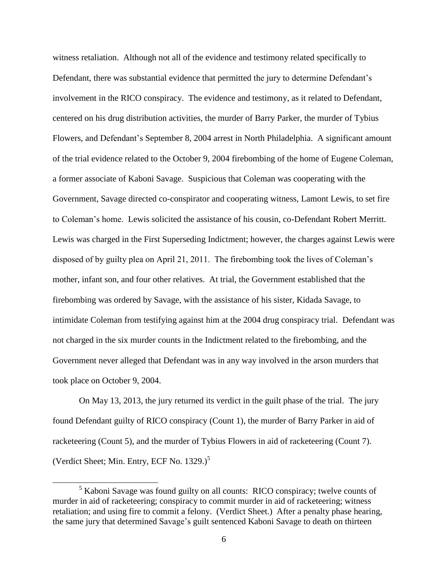witness retaliation. Although not all of the evidence and testimony related specifically to Defendant, there was substantial evidence that permitted the jury to determine Defendant's involvement in the RICO conspiracy. The evidence and testimony, as it related to Defendant, centered on his drug distribution activities, the murder of Barry Parker, the murder of Tybius Flowers, and Defendant's September 8, 2004 arrest in North Philadelphia. A significant amount of the trial evidence related to the October 9, 2004 firebombing of the home of Eugene Coleman, a former associate of Kaboni Savage. Suspicious that Coleman was cooperating with the Government, Savage directed co-conspirator and cooperating witness, Lamont Lewis, to set fire to Coleman's home. Lewis solicited the assistance of his cousin, co-Defendant Robert Merritt. Lewis was charged in the First Superseding Indictment; however, the charges against Lewis were disposed of by guilty plea on April 21, 2011. The firebombing took the lives of Coleman's mother, infant son, and four other relatives. At trial, the Government established that the firebombing was ordered by Savage, with the assistance of his sister, Kidada Savage, to intimidate Coleman from testifying against him at the 2004 drug conspiracy trial. Defendant was not charged in the six murder counts in the Indictment related to the firebombing, and the Government never alleged that Defendant was in any way involved in the arson murders that took place on October 9, 2004.

On May 13, 2013, the jury returned its verdict in the guilt phase of the trial. The jury found Defendant guilty of RICO conspiracy (Count 1), the murder of Barry Parker in aid of racketeering (Count 5), and the murder of Tybius Flowers in aid of racketeering (Count 7). (Verdict Sheet; Min. Entry, ECF No.  $1329.$ )<sup>5</sup>

 $<sup>5</sup>$  Kaboni Savage was found guilty on all counts: RICO conspiracy; twelve counts of</sup> murder in aid of racketeering; conspiracy to commit murder in aid of racketeering; witness retaliation; and using fire to commit a felony. (Verdict Sheet.) After a penalty phase hearing, the same jury that determined Savage's guilt sentenced Kaboni Savage to death on thirteen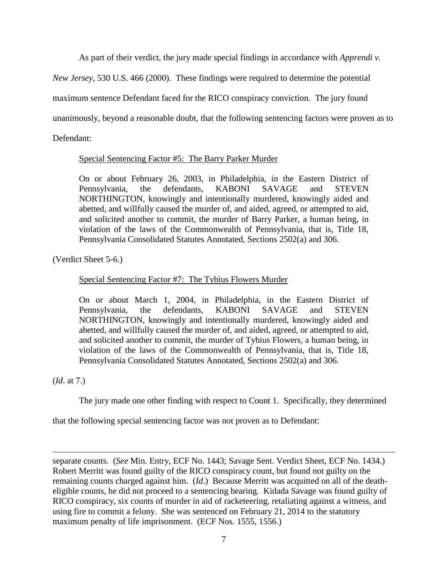As part of their verdict, the jury made special findings in accordance with *Apprendi v.* 

*New Jersey*, 530 U.S. 466 (2000). These findings were required to determine the potential

maximum sentence Defendant faced for the RICO conspiracy conviction. The jury found

unanimously, beyond a reasonable doubt, that the following sentencing factors were proven as to

Defendant:

Special Sentencing Factor #5: The Barry Parker Murder

On or about February 26, 2003, in Philadelphia, in the Eastern District of Pennsylvania, the defendants, KABONI SAVAGE and STEVEN NORTHINGTON, knowingly and intentionally murdered, knowingly aided and abetted, and willfully caused the murder of, and aided, agreed, or attempted to aid, and solicited another to commit, the murder of Barry Parker, a human being, in violation of the laws of the Commonwealth of Pennsylvania, that is, Title 18, Pennsylvania Consolidated Statutes Annotated, Sections 2502(a) and 306.

(Verdict Sheet 5-6.)

# Special Sentencing Factor #7: The Tybius Flowers Murder

On or about March 1, 2004, in Philadelphia, in the Eastern District of Pennsylvania, the defendants, KABONI SAVAGE and STEVEN NORTHINGTON, knowingly and intentionally murdered, knowingly aided and abetted, and willfully caused the murder of, and aided, agreed, or attempted to aid, and solicited another to commit, the murder of Tybius Flowers, a human being, in violation of the laws of the Commonwealth of Pennsylvania, that is, Title 18, Pennsylvania Consolidated Statutes Annotated, Sections 2502(a) and 306.

(*Id*. at 7.)

 $\overline{a}$ 

The jury made one other finding with respect to Count 1. Specifically, they determined

that the following special sentencing factor was not proven as to Defendant:

separate counts. (*See* Min. Entry, ECF No. 1443; Savage Sent. Verdict Sheet, ECF No. 1434.) Robert Merritt was found guilty of the RICO conspiracy count, but found not guilty on the remaining counts charged against him. (*Id*.) Because Merritt was acquitted on all of the deatheligible counts, he did not proceed to a sentencing hearing. Kidada Savage was found guilty of RICO conspiracy, six counts of murder in aid of racketeering, retaliating against a witness, and using fire to commit a felony. She was sentenced on February 21, 2014 to the statutory maximum penalty of life imprisonment. (ECF Nos. 1555, 1556.)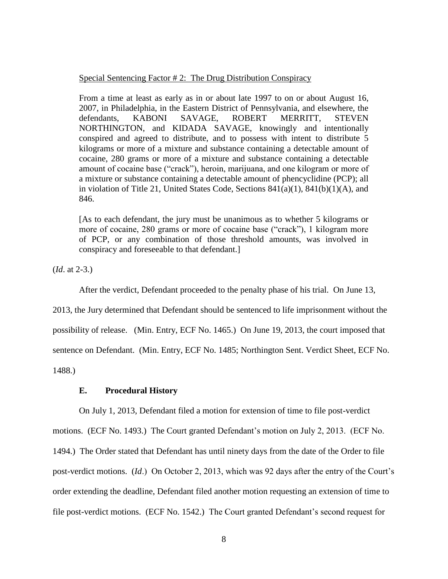#### Special Sentencing Factor # 2: The Drug Distribution Conspiracy

From a time at least as early as in or about late 1997 to on or about August 16, 2007, in Philadelphia, in the Eastern District of Pennsylvania, and elsewhere, the defendants, KABONI SAVAGE, ROBERT MERRITT, STEVEN NORTHINGTON, and KIDADA SAVAGE, knowingly and intentionally conspired and agreed to distribute, and to possess with intent to distribute 5 kilograms or more of a mixture and substance containing a detectable amount of cocaine, 280 grams or more of a mixture and substance containing a detectable amount of cocaine base ("crack"), heroin, marijuana, and one kilogram or more of a mixture or substance containing a detectable amount of phencyclidine (PCP); all in violation of Title 21, United States Code, Sections 841(a)(1), 841(b)(1)(A), and 846.

[As to each defendant, the jury must be unanimous as to whether 5 kilograms or more of cocaine, 280 grams or more of cocaine base ("crack"), 1 kilogram more of PCP, or any combination of those threshold amounts, was involved in conspiracy and foreseeable to that defendant.]

(*Id*. at 2-3.)

After the verdict, Defendant proceeded to the penalty phase of his trial. On June 13,

2013, the Jury determined that Defendant should be sentenced to life imprisonment without the possibility of release. (Min. Entry, ECF No. 1465.) On June 19, 2013, the court imposed that sentence on Defendant. (Min. Entry, ECF No. 1485; Northington Sent. Verdict Sheet, ECF No. 1488.)

## **E. Procedural History**

On July 1, 2013, Defendant filed a motion for extension of time to file post-verdict motions. (ECF No. 1493.) The Court granted Defendant's motion on July 2, 2013. (ECF No. 1494.) The Order stated that Defendant has until ninety days from the date of the Order to file post-verdict motions. (*Id*.) On October 2, 2013, which was 92 days after the entry of the Court's order extending the deadline, Defendant filed another motion requesting an extension of time to file post-verdict motions. (ECF No. 1542.) The Court granted Defendant's second request for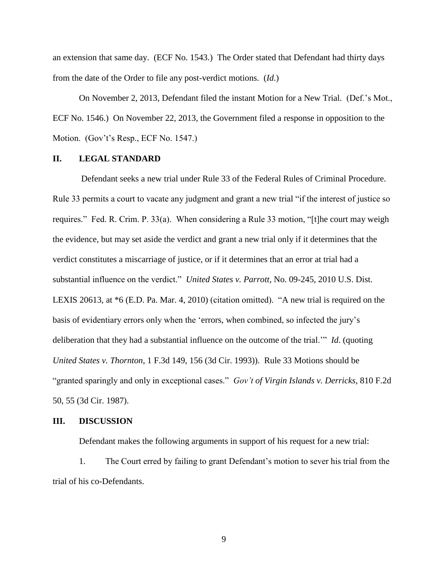an extension that same day. (ECF No. 1543.) The Order stated that Defendant had thirty days from the date of the Order to file any post-verdict motions. (*Id*.)

On November 2, 2013, Defendant filed the instant Motion for a New Trial. (Def.'s Mot., ECF No. 1546.) On November 22, 2013, the Government filed a response in opposition to the Motion. (Gov't's Resp., ECF No. 1547.)

### **II. LEGAL STANDARD**

Defendant seeks a new trial under Rule 33 of the Federal Rules of Criminal Procedure. Rule 33 permits a court to vacate any judgment and grant a new trial "if the interest of justice so requires." Fed. R. Crim. P. 33(a). When considering a Rule 33 motion, "[t]he court may weigh the evidence, but may set aside the verdict and grant a new trial only if it determines that the verdict constitutes a miscarriage of justice, or if it determines that an error at trial had a substantial influence on the verdict." *United States v. Parrott*, No. 09-245, 2010 U.S. Dist. LEXIS 20613, at \*6 (E.D. Pa. Mar. 4, 2010) (citation omitted). "A new trial is required on the basis of evidentiary errors only when the 'errors, when combined, so infected the jury's deliberation that they had a substantial influence on the outcome of the trial.'" *Id*. (quoting *United States v. Thornton*, 1 F.3d 149, 156 (3d Cir. 1993)). Rule 33 Motions should be "granted sparingly and only in exceptional cases." *Gov't of Virgin Islands v. Derricks*, 810 F.2d 50, 55 (3d Cir. 1987).

#### **III. DISCUSSION**

Defendant makes the following arguments in support of his request for a new trial:

1. The Court erred by failing to grant Defendant's motion to sever his trial from the trial of his co-Defendants.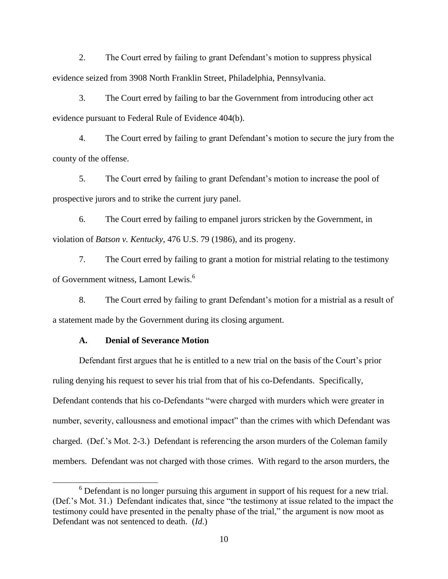2. The Court erred by failing to grant Defendant's motion to suppress physical evidence seized from 3908 North Franklin Street, Philadelphia, Pennsylvania.

3. The Court erred by failing to bar the Government from introducing other act evidence pursuant to Federal Rule of Evidence 404(b).

4. The Court erred by failing to grant Defendant's motion to secure the jury from the county of the offense.

5. The Court erred by failing to grant Defendant's motion to increase the pool of prospective jurors and to strike the current jury panel.

6. The Court erred by failing to empanel jurors stricken by the Government, in violation of *Batson v. Kentucky*, 476 U.S. 79 (1986), and its progeny.

7. The Court erred by failing to grant a motion for mistrial relating to the testimony of Government witness, Lamont Lewis.<sup>6</sup>

8. The Court erred by failing to grant Defendant's motion for a mistrial as a result of a statement made by the Government during its closing argument.

### **A. Denial of Severance Motion**

 $\overline{a}$ 

Defendant first argues that he is entitled to a new trial on the basis of the Court's prior ruling denying his request to sever his trial from that of his co-Defendants. Specifically, Defendant contends that his co-Defendants "were charged with murders which were greater in number, severity, callousness and emotional impact" than the crimes with which Defendant was charged. (Def.'s Mot. 2-3.) Defendant is referencing the arson murders of the Coleman family members. Defendant was not charged with those crimes. With regard to the arson murders, the

<sup>&</sup>lt;sup>6</sup> Defendant is no longer pursuing this argument in support of his request for a new trial. (Def.'s Mot. 31.) Defendant indicates that, since "the testimony at issue related to the impact the testimony could have presented in the penalty phase of the trial," the argument is now moot as Defendant was not sentenced to death. (*Id*.)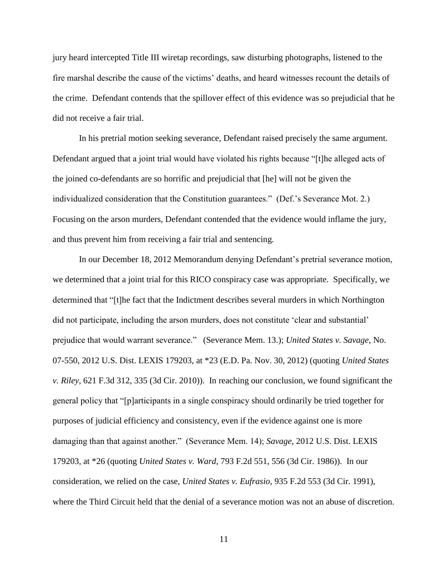jury heard intercepted Title III wiretap recordings, saw disturbing photographs, listened to the fire marshal describe the cause of the victims' deaths, and heard witnesses recount the details of the crime. Defendant contends that the spillover effect of this evidence was so prejudicial that he did not receive a fair trial.

In his pretrial motion seeking severance, Defendant raised precisely the same argument. Defendant argued that a joint trial would have violated his rights because "[t]he alleged acts of the joined co-defendants are so horrific and prejudicial that [he] will not be given the individualized consideration that the Constitution guarantees." (Def.'s Severance Mot. 2.) Focusing on the arson murders, Defendant contended that the evidence would inflame the jury, and thus prevent him from receiving a fair trial and sentencing.

In our December 18, 2012 Memorandum denying Defendant's pretrial severance motion, we determined that a joint trial for this RICO conspiracy case was appropriate. Specifically, we determined that "[t]he fact that the Indictment describes several murders in which Northington did not participate, including the arson murders, does not constitute 'clear and substantial' prejudice that would warrant severance." (Severance Mem. 13.); *United States v. Savage*, No. 07-550, 2012 U.S. Dist. LEXIS 179203, at \*23 (E.D. Pa. Nov. 30, 2012) (quoting *United States v. Riley*, 621 F.3d 312, 335 (3d Cir. 2010)). In reaching our conclusion, we found significant the general policy that "[p]articipants in a single conspiracy should ordinarily be tried together for purposes of judicial efficiency and consistency, even if the evidence against one is more damaging than that against another." (Severance Mem. 14); *Savage*, 2012 U.S. Dist. LEXIS 179203, at \*26 (quoting *United States v. Ward*, 793 F.2d 551, 556 (3d Cir. 1986)). In our consideration, we relied on the case, *United States v. Eufrasio*, 935 F.2d 553 (3d Cir. 1991), where the Third Circuit held that the denial of a severance motion was not an abuse of discretion.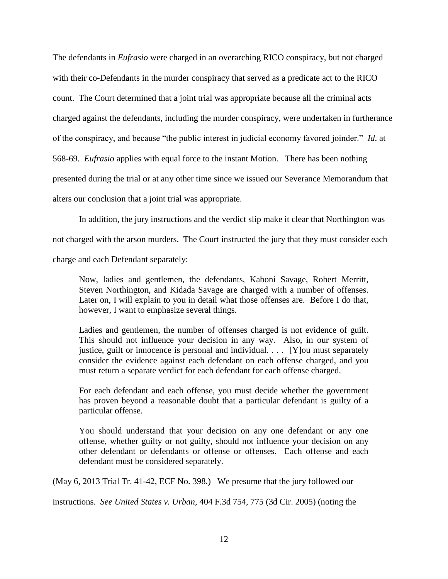The defendants in *Eufrasio* were charged in an overarching RICO conspiracy, but not charged with their co-Defendants in the murder conspiracy that served as a predicate act to the RICO count. The Court determined that a joint trial was appropriate because all the criminal acts charged against the defendants, including the murder conspiracy, were undertaken in furtherance of the conspiracy, and because "the public interest in judicial economy favored joinder." *Id*. at 568-69. *Eufrasio* applies with equal force to the instant Motion. There has been nothing presented during the trial or at any other time since we issued our Severance Memorandum that alters our conclusion that a joint trial was appropriate.

In addition, the jury instructions and the verdict slip make it clear that Northington was not charged with the arson murders. The Court instructed the jury that they must consider each charge and each Defendant separately:

Now, ladies and gentlemen, the defendants, Kaboni Savage, Robert Merritt, Steven Northington, and Kidada Savage are charged with a number of offenses. Later on, I will explain to you in detail what those offenses are. Before I do that, however, I want to emphasize several things.

Ladies and gentlemen, the number of offenses charged is not evidence of guilt. This should not influence your decision in any way. Also, in our system of justice, guilt or innocence is personal and individual. . . . [Y]ou must separately consider the evidence against each defendant on each offense charged, and you must return a separate verdict for each defendant for each offense charged.

For each defendant and each offense, you must decide whether the government has proven beyond a reasonable doubt that a particular defendant is guilty of a particular offense.

You should understand that your decision on any one defendant or any one offense, whether guilty or not guilty, should not influence your decision on any other defendant or defendants or offense or offenses. Each offense and each defendant must be considered separately.

(May 6, 2013 Trial Tr. 41-42, ECF No. 398.) We presume that the jury followed our

instructions. *See United States v. Urban*, 404 F.3d 754, 775 (3d Cir. 2005) (noting the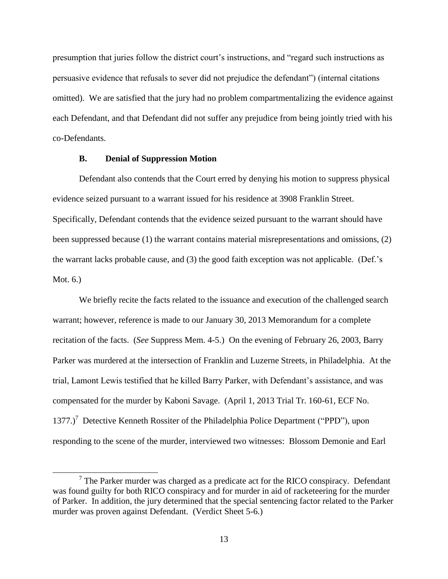presumption that juries follow the district court's instructions, and "regard such instructions as persuasive evidence that refusals to sever did not prejudice the defendant") (internal citations omitted). We are satisfied that the jury had no problem compartmentalizing the evidence against each Defendant, and that Defendant did not suffer any prejudice from being jointly tried with his co-Defendants.

### **B. Denial of Suppression Motion**

 $\overline{a}$ 

Defendant also contends that the Court erred by denying his motion to suppress physical evidence seized pursuant to a warrant issued for his residence at 3908 Franklin Street. Specifically, Defendant contends that the evidence seized pursuant to the warrant should have been suppressed because (1) the warrant contains material misrepresentations and omissions, (2) the warrant lacks probable cause, and (3) the good faith exception was not applicable. (Def.'s Mot. 6.)

We briefly recite the facts related to the issuance and execution of the challenged search warrant; however, reference is made to our January 30, 2013 Memorandum for a complete recitation of the facts. (*See* Suppress Mem. 4-5.) On the evening of February 26, 2003, Barry Parker was murdered at the intersection of Franklin and Luzerne Streets, in Philadelphia. At the trial, Lamont Lewis testified that he killed Barry Parker, with Defendant's assistance, and was compensated for the murder by Kaboni Savage. (April 1, 2013 Trial Tr. 160-61, ECF No. 1377.)<sup>7</sup> Detective Kenneth Rossiter of the Philadelphia Police Department ("PPD"), upon responding to the scene of the murder, interviewed two witnesses: Blossom Demonie and Earl

 $7$  The Parker murder was charged as a predicate act for the RICO conspiracy. Defendant was found guilty for both RICO conspiracy and for murder in aid of racketeering for the murder of Parker. In addition, the jury determined that the special sentencing factor related to the Parker murder was proven against Defendant. (Verdict Sheet 5-6.)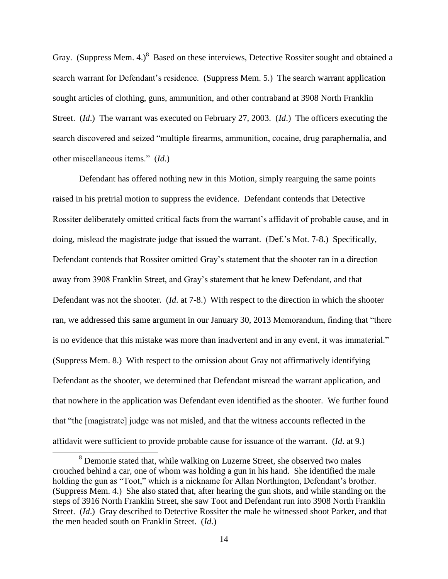Gray. (Suppress Mem. 4.)<sup>8</sup> Based on these interviews, Detective Rossiter sought and obtained a search warrant for Defendant's residence. (Suppress Mem. 5.) The search warrant application sought articles of clothing, guns, ammunition, and other contraband at 3908 North Franklin Street. (*Id*.) The warrant was executed on February 27, 2003. (*Id*.) The officers executing the search discovered and seized "multiple firearms, ammunition, cocaine, drug paraphernalia, and other miscellaneous items." (*Id*.)

Defendant has offered nothing new in this Motion, simply rearguing the same points raised in his pretrial motion to suppress the evidence. Defendant contends that Detective Rossiter deliberately omitted critical facts from the warrant's affidavit of probable cause, and in doing, mislead the magistrate judge that issued the warrant. (Def.'s Mot. 7-8.) Specifically, Defendant contends that Rossiter omitted Gray's statement that the shooter ran in a direction away from 3908 Franklin Street, and Gray's statement that he knew Defendant, and that Defendant was not the shooter. (*Id*. at 7-8.) With respect to the direction in which the shooter ran, we addressed this same argument in our January 30, 2013 Memorandum, finding that "there is no evidence that this mistake was more than inadvertent and in any event, it was immaterial." (Suppress Mem. 8.) With respect to the omission about Gray not affirmatively identifying Defendant as the shooter, we determined that Defendant misread the warrant application, and that nowhere in the application was Defendant even identified as the shooter. We further found that "the [magistrate] judge was not misled, and that the witness accounts reflected in the affidavit were sufficient to provide probable cause for issuance of the warrant. (*Id*. at 9.)

<sup>8</sup> Demonie stated that, while walking on Luzerne Street, she observed two males crouched behind a car, one of whom was holding a gun in his hand. She identified the male holding the gun as "Toot," which is a nickname for Allan Northington, Defendant's brother. (Suppress Mem. 4.) She also stated that, after hearing the gun shots, and while standing on the steps of 3916 North Franklin Street, she saw Toot and Defendant run into 3908 North Franklin Street. (*Id*.) Gray described to Detective Rossiter the male he witnessed shoot Parker, and that the men headed south on Franklin Street. (*Id*.)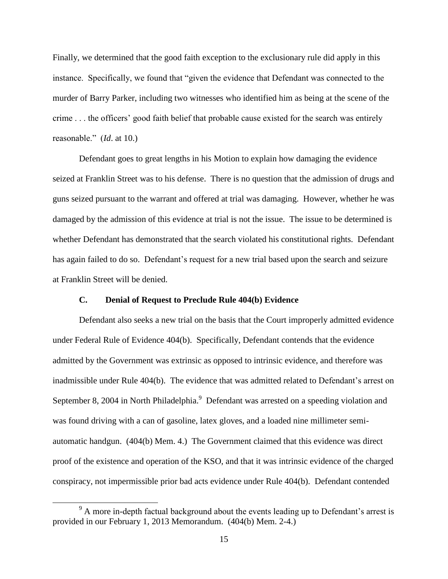Finally, we determined that the good faith exception to the exclusionary rule did apply in this instance. Specifically, we found that "given the evidence that Defendant was connected to the murder of Barry Parker, including two witnesses who identified him as being at the scene of the crime . . . the officers' good faith belief that probable cause existed for the search was entirely reasonable." (*Id*. at 10.)

Defendant goes to great lengths in his Motion to explain how damaging the evidence seized at Franklin Street was to his defense. There is no question that the admission of drugs and guns seized pursuant to the warrant and offered at trial was damaging. However, whether he was damaged by the admission of this evidence at trial is not the issue. The issue to be determined is whether Defendant has demonstrated that the search violated his constitutional rights. Defendant has again failed to do so. Defendant's request for a new trial based upon the search and seizure at Franklin Street will be denied.

#### **C. Denial of Request to Preclude Rule 404(b) Evidence**

Defendant also seeks a new trial on the basis that the Court improperly admitted evidence under Federal Rule of Evidence 404(b). Specifically, Defendant contends that the evidence admitted by the Government was extrinsic as opposed to intrinsic evidence, and therefore was inadmissible under Rule 404(b). The evidence that was admitted related to Defendant's arrest on September 8, 2004 in North Philadelphia.<sup>9</sup> Defendant was arrested on a speeding violation and was found driving with a can of gasoline, latex gloves, and a loaded nine millimeter semiautomatic handgun. (404(b) Mem. 4.) The Government claimed that this evidence was direct proof of the existence and operation of the KSO, and that it was intrinsic evidence of the charged conspiracy, not impermissible prior bad acts evidence under Rule 404(b). Defendant contended

<sup>&</sup>lt;sup>9</sup> A more in-depth factual background about the events leading up to Defendant's arrest is provided in our February 1, 2013 Memorandum. (404(b) Mem. 2-4.)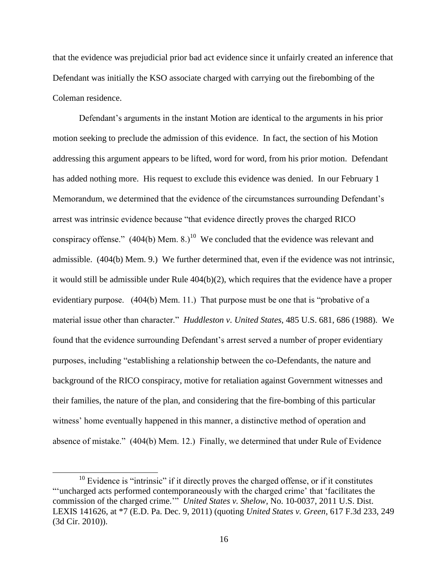that the evidence was prejudicial prior bad act evidence since it unfairly created an inference that Defendant was initially the KSO associate charged with carrying out the firebombing of the Coleman residence.

Defendant's arguments in the instant Motion are identical to the arguments in his prior motion seeking to preclude the admission of this evidence. In fact, the section of his Motion addressing this argument appears to be lifted, word for word, from his prior motion. Defendant has added nothing more. His request to exclude this evidence was denied. In our February 1 Memorandum, we determined that the evidence of the circumstances surrounding Defendant's arrest was intrinsic evidence because "that evidence directly proves the charged RICO conspiracy offense."  $(404(b)$  Mem. 8.)<sup>10</sup> We concluded that the evidence was relevant and admissible. (404(b) Mem. 9.) We further determined that, even if the evidence was not intrinsic, it would still be admissible under Rule 404(b)(2), which requires that the evidence have a proper evidentiary purpose. (404(b) Mem. 11.) That purpose must be one that is "probative of a material issue other than character." *Huddleston v. United States*, 485 U.S. 681, 686 (1988). We found that the evidence surrounding Defendant's arrest served a number of proper evidentiary purposes, including "establishing a relationship between the co-Defendants, the nature and background of the RICO conspiracy, motive for retaliation against Government witnesses and their families, the nature of the plan, and considering that the fire-bombing of this particular witness' home eventually happened in this manner, a distinctive method of operation and absence of mistake." (404(b) Mem. 12.) Finally, we determined that under Rule of Evidence

<sup>&</sup>lt;sup>10</sup> Evidence is "intrinsic" if it directly proves the charged offense, or if it constitutes "'uncharged acts performed contemporaneously with the charged crime' that 'facilitates the commission of the charged crime.'" *United States v. Shelow*, No. 10-0037, 2011 U.S. Dist. LEXIS 141626, at \*7 (E.D. Pa. Dec. 9, 2011) (quoting *United States v. Green*, 617 F.3d 233, 249 (3d Cir. 2010)).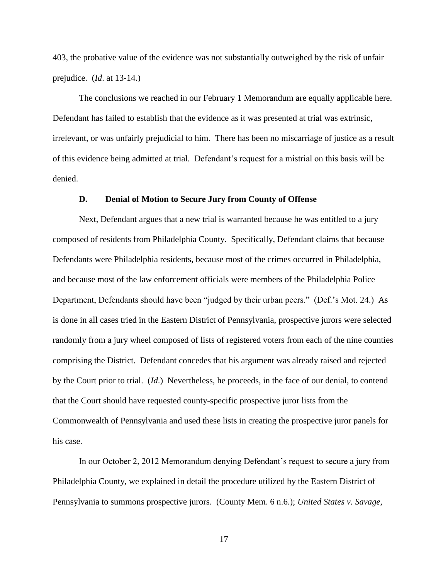403, the probative value of the evidence was not substantially outweighed by the risk of unfair prejudice. (*Id*. at 13-14.)

The conclusions we reached in our February 1 Memorandum are equally applicable here. Defendant has failed to establish that the evidence as it was presented at trial was extrinsic, irrelevant, or was unfairly prejudicial to him. There has been no miscarriage of justice as a result of this evidence being admitted at trial. Defendant's request for a mistrial on this basis will be denied.

### **D. Denial of Motion to Secure Jury from County of Offense**

Next, Defendant argues that a new trial is warranted because he was entitled to a jury composed of residents from Philadelphia County. Specifically, Defendant claims that because Defendants were Philadelphia residents, because most of the crimes occurred in Philadelphia, and because most of the law enforcement officials were members of the Philadelphia Police Department, Defendants should have been "judged by their urban peers." (Def.'s Mot. 24.) As is done in all cases tried in the Eastern District of Pennsylvania, prospective jurors were selected randomly from a jury wheel composed of lists of registered voters from each of the nine counties comprising the District. Defendant concedes that his argument was already raised and rejected by the Court prior to trial. (*Id*.) Nevertheless, he proceeds, in the face of our denial, to contend that the Court should have requested county-specific prospective juror lists from the Commonwealth of Pennsylvania and used these lists in creating the prospective juror panels for his case.

In our October 2, 2012 Memorandum denying Defendant's request to secure a jury from Philadelphia County, we explained in detail the procedure utilized by the Eastern District of Pennsylvania to summons prospective jurors. (County Mem. 6 n.6.); *United States v. Savage*,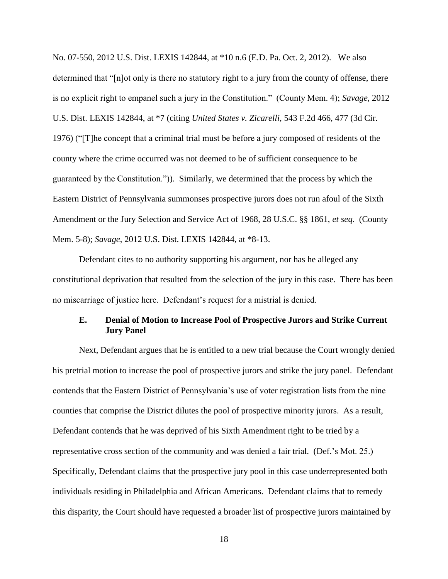No. 07-550, 2012 U.S. Dist. LEXIS 142844, at \*10 n.6 (E.D. Pa. Oct. 2, 2012). We also determined that "[n]ot only is there no statutory right to a jury from the county of offense, there is no explicit right to empanel such a jury in the Constitution." (County Mem. 4); *Savage*, 2012 U.S. Dist. LEXIS 142844, at \*7 (citing *United States v. Zicarelli*, 543 F.2d 466, 477 (3d Cir. 1976) ("[T]he concept that a criminal trial must be before a jury composed of residents of the county where the crime occurred was not deemed to be of sufficient consequence to be guaranteed by the Constitution.")). Similarly, we determined that the process by which the Eastern District of Pennsylvania summonses prospective jurors does not run afoul of the Sixth Amendment or the Jury Selection and Service Act of 1968, 28 U.S.C. §§ 1861, *et seq*. (County Mem. 5-8); *Savage*, 2012 U.S. Dist. LEXIS 142844, at \*8-13.

Defendant cites to no authority supporting his argument, nor has he alleged any constitutional deprivation that resulted from the selection of the jury in this case. There has been no miscarriage of justice here. Defendant's request for a mistrial is denied.

## **E. Denial of Motion to Increase Pool of Prospective Jurors and Strike Current Jury Panel**

Next, Defendant argues that he is entitled to a new trial because the Court wrongly denied his pretrial motion to increase the pool of prospective jurors and strike the jury panel. Defendant contends that the Eastern District of Pennsylvania's use of voter registration lists from the nine counties that comprise the District dilutes the pool of prospective minority jurors. As a result, Defendant contends that he was deprived of his Sixth Amendment right to be tried by a representative cross section of the community and was denied a fair trial. (Def.'s Mot. 25.) Specifically, Defendant claims that the prospective jury pool in this case underrepresented both individuals residing in Philadelphia and African Americans. Defendant claims that to remedy this disparity, the Court should have requested a broader list of prospective jurors maintained by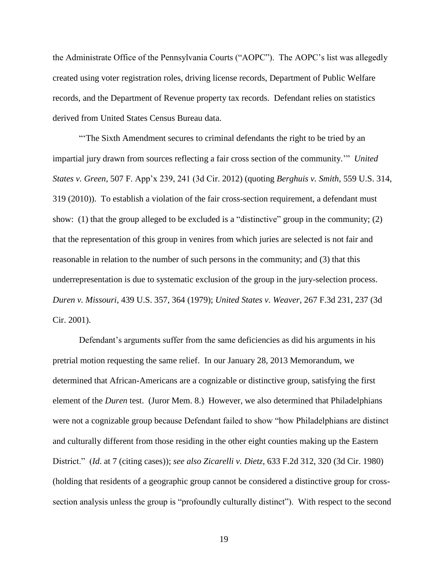the Administrate Office of the Pennsylvania Courts ("AOPC"). The AOPC's list was allegedly created using voter registration roles, driving license records, Department of Public Welfare records, and the Department of Revenue property tax records. Defendant relies on statistics derived from United States Census Bureau data.

"'The Sixth Amendment secures to criminal defendants the right to be tried by an impartial jury drawn from sources reflecting a fair cross section of the community.'" *United States v. Green*, 507 F. App'x 239, 241 (3d Cir. 2012) (quoting *Berghuis v. Smith*, 559 U.S. 314, 319 (2010)). To establish a violation of the fair cross-section requirement, a defendant must show: (1) that the group alleged to be excluded is a "distinctive" group in the community; (2) that the representation of this group in venires from which juries are selected is not fair and reasonable in relation to the number of such persons in the community; and (3) that this underrepresentation is due to systematic exclusion of the group in the jury-selection process. *Duren v. Missouri*, 439 U.S. 357, 364 (1979); *United States v. Weaver*, 267 F.3d 231, 237 (3d Cir. 2001).

Defendant's arguments suffer from the same deficiencies as did his arguments in his pretrial motion requesting the same relief. In our January 28, 2013 Memorandum, we determined that African-Americans are a cognizable or distinctive group, satisfying the first element of the *Duren* test. (Juror Mem. 8.) However, we also determined that Philadelphians were not a cognizable group because Defendant failed to show "how Philadelphians are distinct and culturally different from those residing in the other eight counties making up the Eastern District." (*Id*. at 7 (citing cases)); *see also Zicarelli v. Dietz*, 633 F.2d 312, 320 (3d Cir. 1980) (holding that residents of a geographic group cannot be considered a distinctive group for crosssection analysis unless the group is "profoundly culturally distinct"). With respect to the second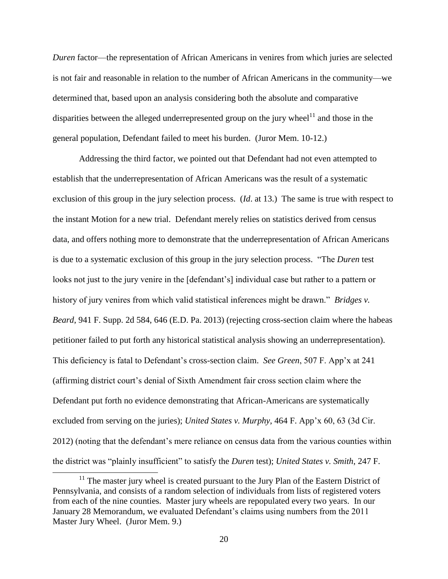*Duren* factor—the representation of African Americans in venires from which juries are selected is not fair and reasonable in relation to the number of African Americans in the community—we determined that, based upon an analysis considering both the absolute and comparative disparities between the alleged underrepresented group on the jury wheel $11$  and those in the general population, Defendant failed to meet his burden. (Juror Mem. 10-12.)

Addressing the third factor, we pointed out that Defendant had not even attempted to establish that the underrepresentation of African Americans was the result of a systematic exclusion of this group in the jury selection process. (*Id*. at 13.) The same is true with respect to the instant Motion for a new trial. Defendant merely relies on statistics derived from census data, and offers nothing more to demonstrate that the underrepresentation of African Americans is due to a systematic exclusion of this group in the jury selection process. "The *Duren* test looks not just to the jury venire in the [defendant's] individual case but rather to a pattern or history of jury venires from which valid statistical inferences might be drawn." *Bridges v. Beard*, 941 F. Supp. 2d 584, 646 (E.D. Pa. 2013) (rejecting cross-section claim where the habeas petitioner failed to put forth any historical statistical analysis showing an underrepresentation). This deficiency is fatal to Defendant's cross-section claim. *See Green*, 507 F. App'x at 241 (affirming district court's denial of Sixth Amendment fair cross section claim where the Defendant put forth no evidence demonstrating that African-Americans are systematically excluded from serving on the juries); *United States v. Murphy*, 464 F. App'x 60, 63 (3d Cir. 2012) (noting that the defendant's mere reliance on census data from the various counties within the district was "plainly insufficient" to satisfy the *Duren* test); *United States v. Smith*, 247 F.

<sup>&</sup>lt;sup>11</sup> The master jury wheel is created pursuant to the Jury Plan of the Eastern District of Pennsylvania, and consists of a random selection of individuals from lists of registered voters from each of the nine counties. Master jury wheels are repopulated every two years. In our January 28 Memorandum, we evaluated Defendant's claims using numbers from the 2011 Master Jury Wheel. (Juror Mem. 9.)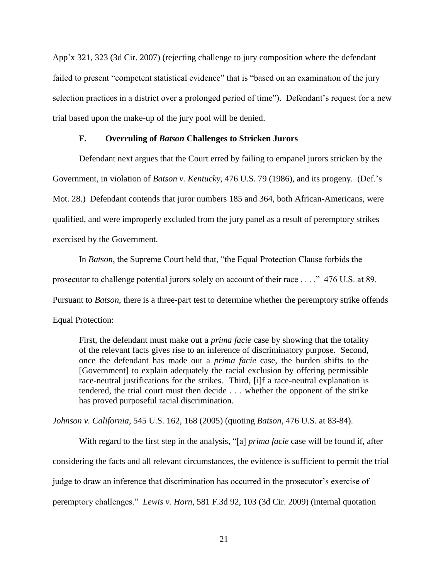App'x 321, 323 (3d Cir. 2007) (rejecting challenge to jury composition where the defendant failed to present "competent statistical evidence" that is "based on an examination of the jury selection practices in a district over a prolonged period of time"). Defendant's request for a new trial based upon the make-up of the jury pool will be denied.

## **F. Overruling of** *Batson* **Challenges to Stricken Jurors**

Defendant next argues that the Court erred by failing to empanel jurors stricken by the Government, in violation of *Batson v. Kentucky*, 476 U.S. 79 (1986), and its progeny. (Def.'s Mot. 28.) Defendant contends that juror numbers 185 and 364, both African-Americans, were qualified, and were improperly excluded from the jury panel as a result of peremptory strikes exercised by the Government.

In *Batson*, the Supreme Court held that, "the Equal Protection Clause forbids the

prosecutor to challenge potential jurors solely on account of their race . . . ." 476 U.S. at 89.

Pursuant to *Batson*, there is a three-part test to determine whether the peremptory strike offends

Equal Protection:

First, the defendant must make out a *prima facie* case by showing that the totality of the relevant facts gives rise to an inference of discriminatory purpose. Second, once the defendant has made out a *prima facie* case, the burden shifts to the [Government] to explain adequately the racial exclusion by offering permissible race-neutral justifications for the strikes. Third, [i]f a race-neutral explanation is tendered, the trial court must then decide . . . whether the opponent of the strike has proved purposeful racial discrimination.

*Johnson v. California*, 545 U.S. 162, 168 (2005) (quoting *Batson*, 476 U.S. at 83-84).

With regard to the first step in the analysis, "[a] *prima facie* case will be found if, after considering the facts and all relevant circumstances, the evidence is sufficient to permit the trial judge to draw an inference that discrimination has occurred in the prosecutor's exercise of peremptory challenges." *Lewis v. Horn*, 581 F.3d 92, 103 (3d Cir. 2009) (internal quotation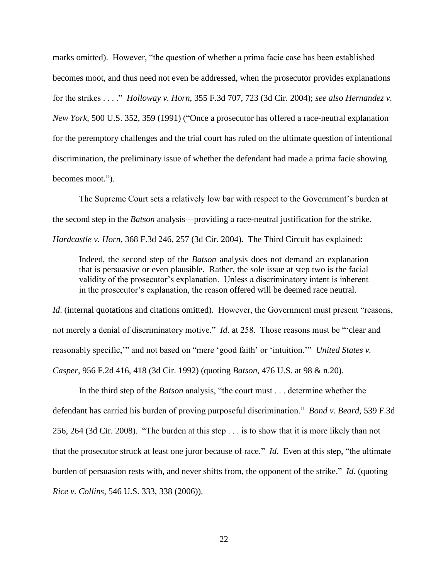marks omitted). However, "the question of whether a prima facie case has been established becomes moot, and thus need not even be addressed, when the prosecutor provides explanations for the strikes . . . ." *Holloway v. Horn*, 355 F.3d 707, 723 (3d Cir. 2004); *see also Hernandez v. New York*, 500 U.S. 352, 359 (1991) ("Once a prosecutor has offered a race-neutral explanation for the peremptory challenges and the trial court has ruled on the ultimate question of intentional discrimination, the preliminary issue of whether the defendant had made a prima facie showing becomes moot.").

The Supreme Court sets a relatively low bar with respect to the Government's burden at the second step in the *Batson* analysis—providing a race-neutral justification for the strike. *Hardcastle v. Horn*, 368 F.3d 246, 257 (3d Cir. 2004). The Third Circuit has explained:

Indeed, the second step of the *Batson* analysis does not demand an explanation that is persuasive or even plausible. Rather, the sole issue at step two is the facial validity of the prosecutor's explanation. Unless a discriminatory intent is inherent in the prosecutor's explanation, the reason offered will be deemed race neutral.

*Id.* (internal quotations and citations omitted). However, the Government must present "reasons, not merely a denial of discriminatory motive." *Id*. at 258. Those reasons must be "'clear and reasonably specific,'" and not based on "mere 'good faith' or 'intuition.'" *United States v. Casper*, 956 F.2d 416, 418 (3d Cir. 1992) (quoting *Batson*, 476 U.S. at 98 & n.20).

In the third step of the *Batson* analysis, "the court must . . . determine whether the defendant has carried his burden of proving purposeful discrimination." *Bond v. Beard*, 539 F.3d 256, 264 (3d Cir. 2008). "The burden at this step . . . is to show that it is more likely than not that the prosecutor struck at least one juror because of race." *Id*. Even at this step, "the ultimate burden of persuasion rests with, and never shifts from, the opponent of the strike." *Id*. (quoting *Rice v. Collins*, 546 U.S. 333, 338 (2006)).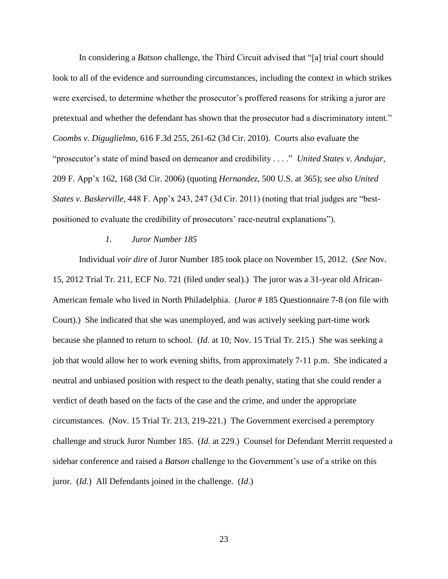In considering a *Batson* challenge, the Third Circuit advised that "[a] trial court should look to all of the evidence and surrounding circumstances, including the context in which strikes were exercised, to determine whether the prosecutor's proffered reasons for striking a juror are pretextual and whether the defendant has shown that the prosecutor had a discriminatory intent." *Coombs v. Diguglielmo*, 616 F.3d 255, 261-62 (3d Cir. 2010). Courts also evaluate the "prosecutor's state of mind based on demeanor and credibility . . . ." *United States v. Andujar*, 209 F. App'x 162, 168 (3d Cir. 2006) (quoting *Hernandez*, 500 U.S. at 365); *see also United States v. Baskerville*, 448 F. App'x 243, 247 (3d Cir. 2011) (noting that trial judges are "bestpositioned to evaluate the credibility of prosecutors' race-neutral explanations").

#### *1. Juror Number 185*

Individual *voir dire* of Juror Number 185 took place on November 15, 2012. (*See* Nov. 15, 2012 Trial Tr. 211, ECF No. 721 (filed under seal).) The juror was a 31-year old African-American female who lived in North Philadelphia. (Juror # 185 Questionnaire 7-8 (on file with Court).) She indicated that she was unemployed, and was actively seeking part-time work because she planned to return to school. (*Id*. at 10; Nov. 15 Trial Tr. 215.) She was seeking a job that would allow her to work evening shifts, from approximately 7-11 p.m. She indicated a neutral and unbiased position with respect to the death penalty, stating that she could render a verdict of death based on the facts of the case and the crime, and under the appropriate circumstances. (Nov. 15 Trial Tr. 213, 219-221.) The Government exercised a peremptory challenge and struck Juror Number 185. (*Id*. at 229.) Counsel for Defendant Merritt requested a sidebar conference and raised a *Batson* challenge to the Government's use of a strike on this juror. (*Id*.) All Defendants joined in the challenge. (*Id*.)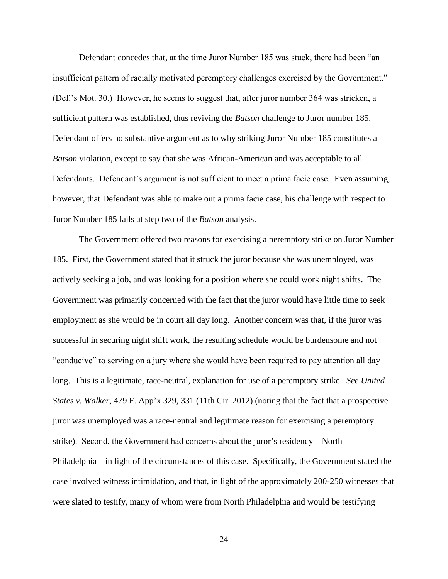Defendant concedes that, at the time Juror Number 185 was stuck, there had been "an insufficient pattern of racially motivated peremptory challenges exercised by the Government." (Def.'s Mot. 30.) However, he seems to suggest that, after juror number 364 was stricken, a sufficient pattern was established, thus reviving the *Batson* challenge to Juror number 185. Defendant offers no substantive argument as to why striking Juror Number 185 constitutes a *Batson* violation, except to say that she was African-American and was acceptable to all Defendants. Defendant's argument is not sufficient to meet a prima facie case. Even assuming, however, that Defendant was able to make out a prima facie case, his challenge with respect to Juror Number 185 fails at step two of the *Batson* analysis.

The Government offered two reasons for exercising a peremptory strike on Juror Number 185. First, the Government stated that it struck the juror because she was unemployed, was actively seeking a job, and was looking for a position where she could work night shifts. The Government was primarily concerned with the fact that the juror would have little time to seek employment as she would be in court all day long. Another concern was that, if the juror was successful in securing night shift work, the resulting schedule would be burdensome and not "conducive" to serving on a jury where she would have been required to pay attention all day long. This is a legitimate, race-neutral, explanation for use of a peremptory strike. *See United States v. Walker*, 479 F. App'x 329, 331 (11th Cir. 2012) (noting that the fact that a prospective juror was unemployed was a race-neutral and legitimate reason for exercising a peremptory strike). Second, the Government had concerns about the juror's residency—North Philadelphia—in light of the circumstances of this case. Specifically, the Government stated the case involved witness intimidation, and that, in light of the approximately 200-250 witnesses that were slated to testify, many of whom were from North Philadelphia and would be testifying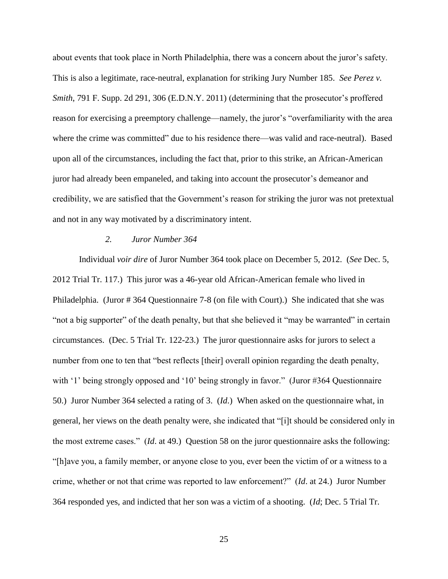about events that took place in North Philadelphia, there was a concern about the juror's safety. This is also a legitimate, race-neutral, explanation for striking Jury Number 185. *See Perez v. Smith*, 791 F. Supp. 2d 291, 306 (E.D.N.Y. 2011) (determining that the prosecutor's proffered reason for exercising a preemptory challenge—namely, the juror's "overfamiliarity with the area where the crime was committed" due to his residence there—was valid and race-neutral). Based upon all of the circumstances, including the fact that, prior to this strike, an African-American juror had already been empaneled, and taking into account the prosecutor's demeanor and credibility, we are satisfied that the Government's reason for striking the juror was not pretextual and not in any way motivated by a discriminatory intent.

#### *2. Juror Number 364*

Individual *voir dire* of Juror Number 364 took place on December 5, 2012. (*See* Dec. 5, 2012 Trial Tr. 117.) This juror was a 46-year old African-American female who lived in Philadelphia. (Juror # 364 Questionnaire 7-8 (on file with Court).) She indicated that she was "not a big supporter" of the death penalty, but that she believed it "may be warranted" in certain circumstances. (Dec. 5 Trial Tr. 122-23.) The juror questionnaire asks for jurors to select a number from one to ten that "best reflects [their] overall opinion regarding the death penalty, with '1' being strongly opposed and '10' being strongly in favor." (Juror #364 Questionnaire 50.) Juror Number 364 selected a rating of 3. (*Id*.) When asked on the questionnaire what, in general, her views on the death penalty were, she indicated that "[i]t should be considered only in the most extreme cases." (*Id*. at 49.) Question 58 on the juror questionnaire asks the following: "[h]ave you, a family member, or anyone close to you, ever been the victim of or a witness to a crime, whether or not that crime was reported to law enforcement?" (*Id*. at 24.) Juror Number 364 responded yes, and indicted that her son was a victim of a shooting. (*Id*; Dec. 5 Trial Tr.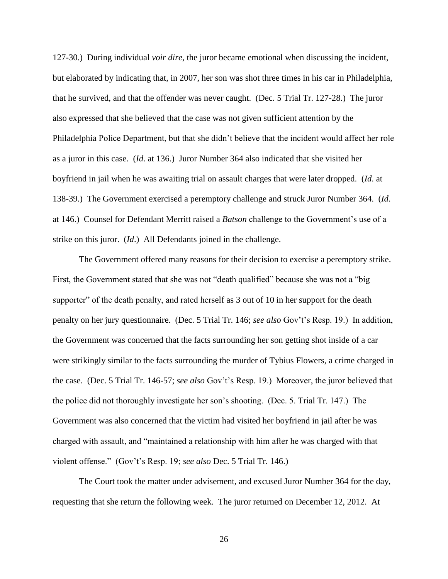127-30.) During individual *voir dire*, the juror became emotional when discussing the incident, but elaborated by indicating that, in 2007, her son was shot three times in his car in Philadelphia, that he survived, and that the offender was never caught. (Dec. 5 Trial Tr. 127-28.) The juror also expressed that she believed that the case was not given sufficient attention by the Philadelphia Police Department, but that she didn't believe that the incident would affect her role as a juror in this case. (*Id*. at 136.) Juror Number 364 also indicated that she visited her boyfriend in jail when he was awaiting trial on assault charges that were later dropped. (*Id*. at 138-39.) The Government exercised a peremptory challenge and struck Juror Number 364. (*Id*. at 146.) Counsel for Defendant Merritt raised a *Batson* challenge to the Government's use of a strike on this juror. (*Id*.) All Defendants joined in the challenge.

The Government offered many reasons for their decision to exercise a peremptory strike. First, the Government stated that she was not "death qualified" because she was not a "big supporter" of the death penalty, and rated herself as 3 out of 10 in her support for the death penalty on her jury questionnaire. (Dec. 5 Trial Tr. 146; *see also* Gov't's Resp. 19.) In addition, the Government was concerned that the facts surrounding her son getting shot inside of a car were strikingly similar to the facts surrounding the murder of Tybius Flowers, a crime charged in the case. (Dec. 5 Trial Tr. 146-57; *see also* Gov't's Resp. 19.) Moreover, the juror believed that the police did not thoroughly investigate her son's shooting. (Dec. 5. Trial Tr. 147.) The Government was also concerned that the victim had visited her boyfriend in jail after he was charged with assault, and "maintained a relationship with him after he was charged with that violent offense." (Gov't's Resp. 19; *see also* Dec. 5 Trial Tr. 146.)

The Court took the matter under advisement, and excused Juror Number 364 for the day, requesting that she return the following week. The juror returned on December 12, 2012. At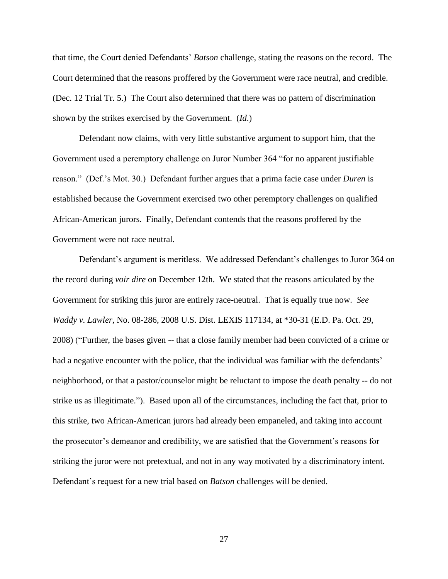that time, the Court denied Defendants' *Batson* challenge, stating the reasons on the record. The Court determined that the reasons proffered by the Government were race neutral, and credible. (Dec. 12 Trial Tr. 5.) The Court also determined that there was no pattern of discrimination shown by the strikes exercised by the Government. (*Id*.)

Defendant now claims, with very little substantive argument to support him, that the Government used a peremptory challenge on Juror Number 364 "for no apparent justifiable reason." (Def.'s Mot. 30.) Defendant further argues that a prima facie case under *Duren* is established because the Government exercised two other peremptory challenges on qualified African-American jurors. Finally, Defendant contends that the reasons proffered by the Government were not race neutral.

Defendant's argument is meritless. We addressed Defendant's challenges to Juror 364 on the record during *voir dire* on December 12th. We stated that the reasons articulated by the Government for striking this juror are entirely race-neutral. That is equally true now. *See Waddy v. Lawler*, No. 08-286, 2008 U.S. Dist. LEXIS 117134, at \*30-31 (E.D. Pa. Oct. 29, 2008) ("Further, the bases given -- that a close family member had been convicted of a crime or had a negative encounter with the police, that the individual was familiar with the defendants' neighborhood, or that a pastor/counselor might be reluctant to impose the death penalty -- do not strike us as illegitimate."). Based upon all of the circumstances, including the fact that, prior to this strike, two African-American jurors had already been empaneled, and taking into account the prosecutor's demeanor and credibility, we are satisfied that the Government's reasons for striking the juror were not pretextual, and not in any way motivated by a discriminatory intent. Defendant's request for a new trial based on *Batson* challenges will be denied.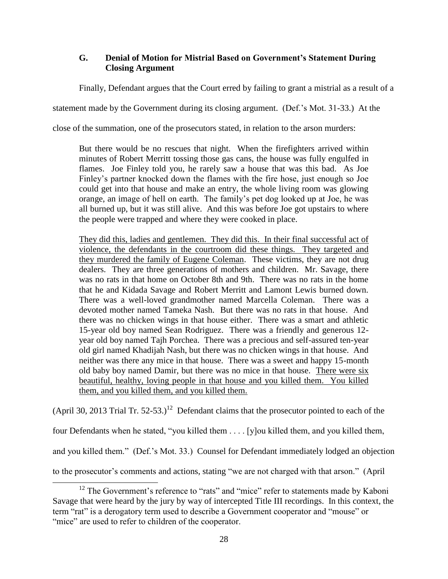# **G. Denial of Motion for Mistrial Based on Government's Statement During Closing Argument**

Finally, Defendant argues that the Court erred by failing to grant a mistrial as a result of a

statement made by the Government during its closing argument. (Def.'s Mot. 31-33.) At the

close of the summation, one of the prosecutors stated, in relation to the arson murders:

But there would be no rescues that night. When the firefighters arrived within minutes of Robert Merritt tossing those gas cans, the house was fully engulfed in flames. Joe Finley told you, he rarely saw a house that was this bad. As Joe Finley's partner knocked down the flames with the fire hose, just enough so Joe could get into that house and make an entry, the whole living room was glowing orange, an image of hell on earth. The family's pet dog looked up at Joe, he was all burned up, but it was still alive. And this was before Joe got upstairs to where the people were trapped and where they were cooked in place.

They did this, ladies and gentlemen. They did this. In their final successful act of violence, the defendants in the courtroom did these things. They targeted and they murdered the family of Eugene Coleman. These victims, they are not drug dealers. They are three generations of mothers and children. Mr. Savage, there was no rats in that home on October 8th and 9th. There was no rats in the home that he and Kidada Savage and Robert Merritt and Lamont Lewis burned down. There was a well-loved grandmother named Marcella Coleman. There was a devoted mother named Tameka Nash. But there was no rats in that house. And there was no chicken wings in that house either. There was a smart and athletic 15-year old boy named Sean Rodriguez. There was a friendly and generous 12 year old boy named Tajh Porchea. There was a precious and self-assured ten-year old girl named Khadijah Nash, but there was no chicken wings in that house. And neither was there any mice in that house. There was a sweet and happy 15-month old baby boy named Damir, but there was no mice in that house. There were six beautiful, healthy, loving people in that house and you killed them. You killed them, and you killed them, and you killed them.

(April 30, 2013 Trial Tr. 52-53.)<sup>12</sup> Defendant claims that the prosecutor pointed to each of the

four Defendants when he stated, "you killed them . . . . [y]ou killed them, and you killed them,

and you killed them." (Def.'s Mot. 33.) Counsel for Defendant immediately lodged an objection

to the prosecutor's comments and actions, stating "we are not charged with that arson." (April

<sup>&</sup>lt;sup>12</sup> The Government's reference to "rats" and "mice" refer to statements made by Kaboni Savage that were heard by the jury by way of intercepted Title III recordings. In this context, the term "rat" is a derogatory term used to describe a Government cooperator and "mouse" or "mice" are used to refer to children of the cooperator.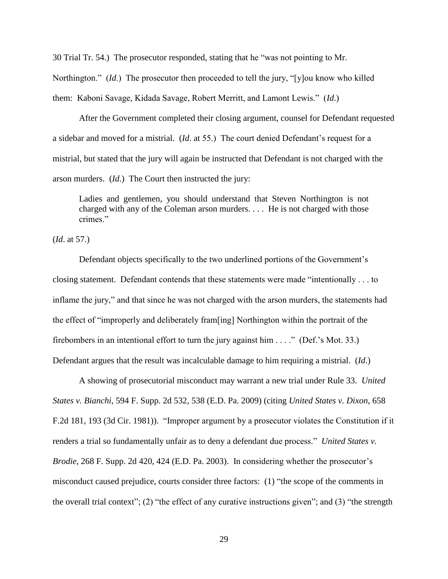30 Trial Tr. 54.) The prosecutor responded, stating that he "was not pointing to Mr.

Northington." (*Id*.) The prosecutor then proceeded to tell the jury, "[y]ou know who killed

them: Kaboni Savage, Kidada Savage, Robert Merritt, and Lamont Lewis." (*Id*.)

After the Government completed their closing argument, counsel for Defendant requested a sidebar and moved for a mistrial. (*Id*. at 55.) The court denied Defendant's request for a mistrial, but stated that the jury will again be instructed that Defendant is not charged with the arson murders. (*Id*.) The Court then instructed the jury:

Ladies and gentlemen, you should understand that Steven Northington is not charged with any of the Coleman arson murders. . . . He is not charged with those crimes."

(*Id*. at 57.)

Defendant objects specifically to the two underlined portions of the Government's closing statement. Defendant contends that these statements were made "intentionally . . . to inflame the jury," and that since he was not charged with the arson murders, the statements had the effect of "improperly and deliberately fram[ing] Northington within the portrait of the firebombers in an intentional effort to turn the jury against him . . . ." (Def.'s Mot. 33.) Defendant argues that the result was incalculable damage to him requiring a mistrial. (*Id*.)

A showing of prosecutorial misconduct may warrant a new trial under Rule 33. *United States v. Bianchi*, 594 F. Supp. 2d 532, 538 (E.D. Pa. 2009) (citing *United States v. Dixon*, 658 F.2d 181, 193 (3d Cir. 1981)). "Improper argument by a prosecutor violates the Constitution if it renders a trial so fundamentally unfair as to deny a defendant due process." *United States v. Brodie*, 268 F. Supp. 2d 420, 424 (E.D. Pa. 2003). In considering whether the prosecutor's misconduct caused prejudice, courts consider three factors: (1) "the scope of the comments in the overall trial context"; (2) "the effect of any curative instructions given"; and (3) "the strength